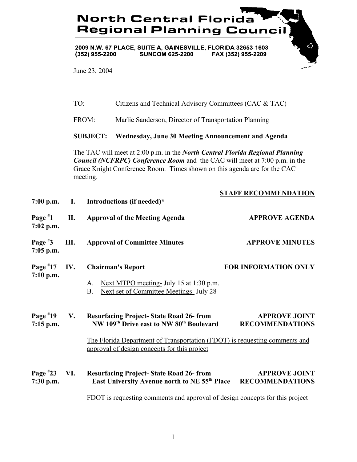## **North Central Florida Regional Planning Council**

2009 N.W. 67 PLACE, SUITE A, GAINESVILLE, FLORIDA 32653-1603<br>(352) 955-2200 SUNCOM 625-2200 FAX (352) 955-2209

June 23, 2004

|                           | TO:   |                                                                                                                                                                                                                                                                   | Citizens and Technical Advisory Committees (CAC & TAC)                                                                     |                                                |  |
|---------------------------|-------|-------------------------------------------------------------------------------------------------------------------------------------------------------------------------------------------------------------------------------------------------------------------|----------------------------------------------------------------------------------------------------------------------------|------------------------------------------------|--|
|                           | FROM: |                                                                                                                                                                                                                                                                   | Marlie Sanderson, Director of Transportation Planning                                                                      |                                                |  |
|                           |       | <b>SUBJECT:</b>                                                                                                                                                                                                                                                   | <b>Wednesday, June 30 Meeting Announcement and Agenda</b>                                                                  |                                                |  |
|                           |       | The TAC will meet at 2:00 p.m. in the <i>North Central Florida Regional Planning</i><br><b>Council (NCFRPC) Conference Room</b> and the CAC will meet at 7:00 p.m. in the<br>Grace Knight Conference Room. Times shown on this agenda are for the CAC<br>meeting. |                                                                                                                            |                                                |  |
|                           |       |                                                                                                                                                                                                                                                                   |                                                                                                                            | <b>STAFF RECOMMENDATION</b>                    |  |
| $7:00$ p.m.               | I.    |                                                                                                                                                                                                                                                                   | Introductions (if needed)*                                                                                                 |                                                |  |
| Page $*1$<br>$7:02$ p.m.  | П.    |                                                                                                                                                                                                                                                                   | <b>Approval of the Meeting Agenda</b>                                                                                      | <b>APPROVE AGENDA</b>                          |  |
| Page $*3$<br>$7:05$ p.m.  | Ш.    |                                                                                                                                                                                                                                                                   | <b>Approval of Committee Minutes</b>                                                                                       | <b>APPROVE MINUTES</b>                         |  |
| Page $*17$<br>$7:10$ p.m. | IV.   |                                                                                                                                                                                                                                                                   | <b>Chairman's Report</b>                                                                                                   | <b>FOR INFORMATION ONLY</b>                    |  |
|                           |       | A.<br><b>B.</b>                                                                                                                                                                                                                                                   | Next MTPO meeting- July 15 at 1:30 p.m.<br><b>Next set of Committee Meetings- July 28</b>                                  |                                                |  |
| Page $*19$<br>$7:15$ p.m. | V.    |                                                                                                                                                                                                                                                                   | <b>Resurfacing Project-State Road 26- from</b><br>NW 109th Drive east to NW 80th Boulevard                                 | <b>APPROVE JOINT</b><br><b>RECOMMENDATIONS</b> |  |
|                           |       |                                                                                                                                                                                                                                                                   | The Florida Department of Transportation (FDOT) is requesting comments and<br>approval of design concepts for this project |                                                |  |
| Page $*23$<br>7:30 p.m.   | VI.   |                                                                                                                                                                                                                                                                   | <b>Resurfacing Project-State Road 26-from</b><br>East University Avenue north to NE 55 <sup>th</sup> Place                 | <b>APPROVE JOINT</b><br><b>RECOMMENDATIONS</b> |  |
|                           |       |                                                                                                                                                                                                                                                                   | FDOT is requesting comments and approval of design concepts for this project                                               |                                                |  |